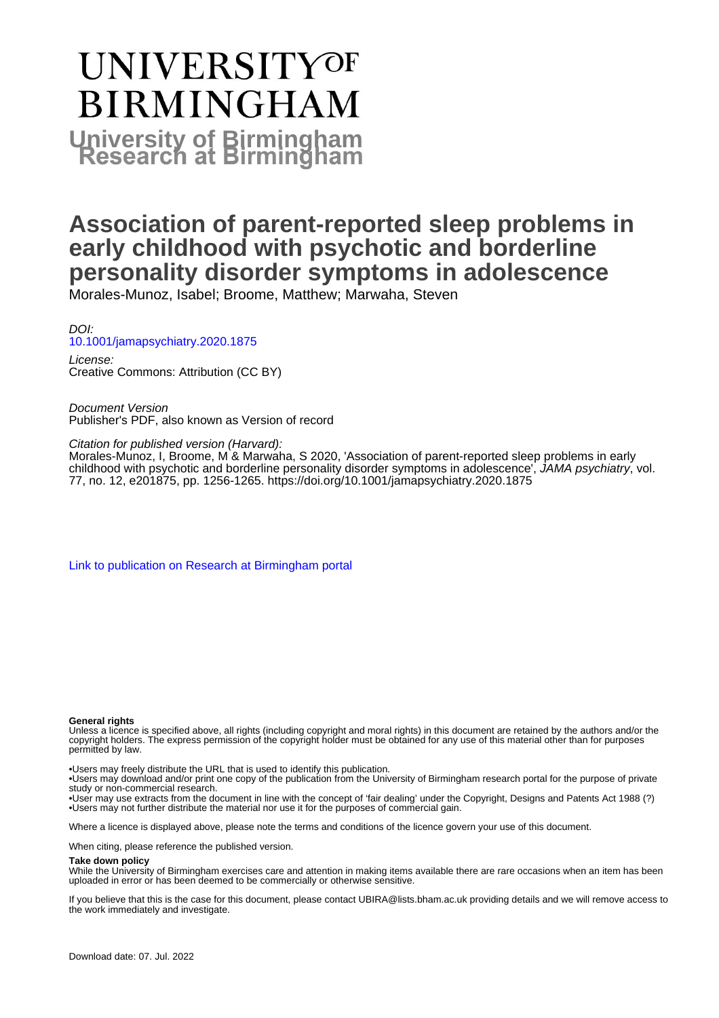# **UNIVERSITYOF BIRMINGHAM University of Birmingham**

## **Association of parent-reported sleep problems in early childhood with psychotic and borderline personality disorder symptoms in adolescence**

Morales-Munoz, Isabel; Broome, Matthew; Marwaha, Steven

DOI: [10.1001/jamapsychiatry.2020.1875](https://doi.org/10.1001/jamapsychiatry.2020.1875)

License: Creative Commons: Attribution (CC BY)

Document Version Publisher's PDF, also known as Version of record

Citation for published version (Harvard):

Morales-Munoz, I, Broome, M & Marwaha, S 2020, 'Association of parent-reported sleep problems in early childhood with psychotic and borderline personality disorder symptoms in adolescence', JAMA *psychiatry*, vol. 77, no. 12, e201875, pp. 1256-1265. <https://doi.org/10.1001/jamapsychiatry.2020.1875>

[Link to publication on Research at Birmingham portal](https://birmingham.elsevierpure.com/en/publications/c7193473-789a-4738-a74c-bfdbcda35412)

#### **General rights**

Unless a licence is specified above, all rights (including copyright and moral rights) in this document are retained by the authors and/or the copyright holders. The express permission of the copyright holder must be obtained for any use of this material other than for purposes permitted by law.

• Users may freely distribute the URL that is used to identify this publication.

• Users may download and/or print one copy of the publication from the University of Birmingham research portal for the purpose of private study or non-commercial research.

• User may use extracts from the document in line with the concept of 'fair dealing' under the Copyright, Designs and Patents Act 1988 (?) • Users may not further distribute the material nor use it for the purposes of commercial gain.

Where a licence is displayed above, please note the terms and conditions of the licence govern your use of this document.

When citing, please reference the published version.

#### **Take down policy**

While the University of Birmingham exercises care and attention in making items available there are rare occasions when an item has been uploaded in error or has been deemed to be commercially or otherwise sensitive.

If you believe that this is the case for this document, please contact UBIRA@lists.bham.ac.uk providing details and we will remove access to the work immediately and investigate.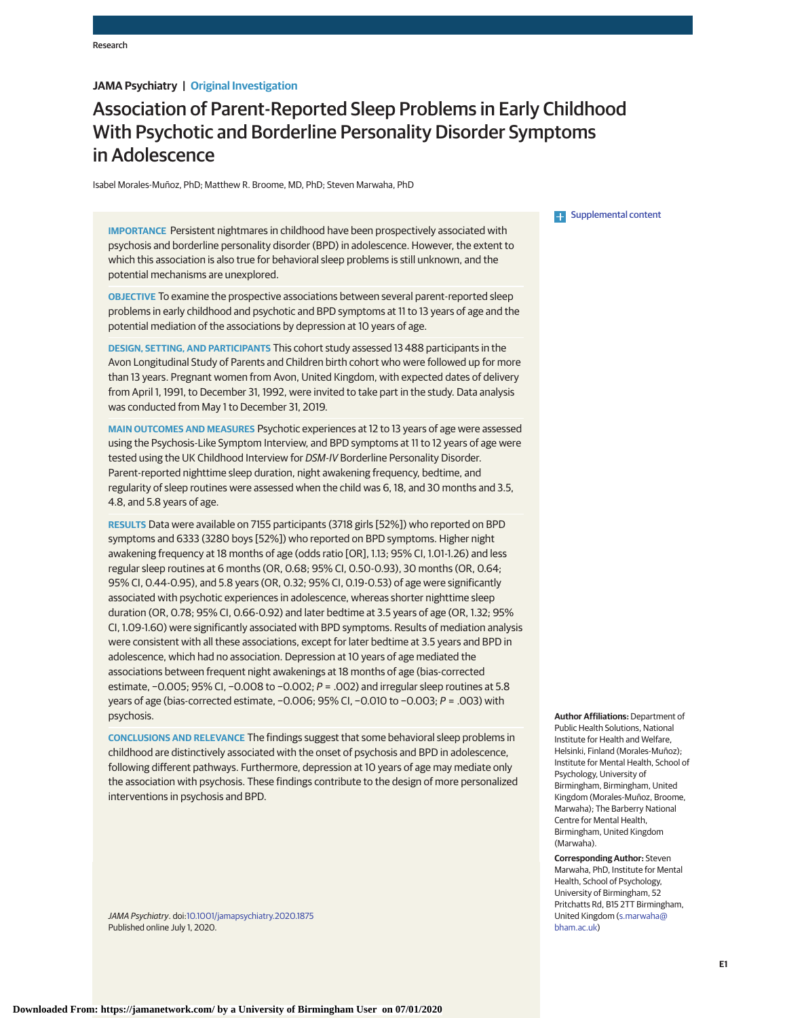#### **JAMA Psychiatry | Original Investigation**

### Association of Parent-Reported Sleep Problems in Early Childhood With Psychotic and Borderline Personality Disorder Symptoms in Adolescence

Isabel Morales-Muñoz, PhD; Matthew R. Broome, MD, PhD; Steven Marwaha, PhD

**IMPORTANCE** Persistent nightmares in childhood have been prospectively associated with psychosis and borderline personality disorder (BPD) in adolescence. However, the extent to which this association is also true for behavioral sleep problems is still unknown, and the potential mechanisms are unexplored.

**OBJECTIVE** To examine the prospective associations between several parent-reported sleep problems in early childhood and psychotic and BPD symptoms at 11 to 13 years of age and the potential mediation of the associations by depression at 10 years of age.

**DESIGN, SETTING, AND PARTICIPANTS** This cohort study assessed 13 488 participants in the Avon Longitudinal Study of Parents and Children birth cohort who were followed up for more than 13 years. Pregnant women from Avon, United Kingdom, with expected dates of delivery from April 1, 1991, to December 31, 1992, were invited to take part in the study. Data analysis was conducted from May 1 to December 31, 2019.

**MAIN OUTCOMES AND MEASURES** Psychotic experiences at 12 to 13 years of age were assessed using the Psychosis-Like Symptom Interview, and BPD symptoms at 11 to 12 years of age were tested using the UK Childhood Interview for DSM-IV Borderline Personality Disorder. Parent-reported nighttime sleep duration, night awakening frequency, bedtime, and regularity of sleep routines were assessed when the child was 6, 18, and 30 months and 3.5, 4.8, and 5.8 years of age.

**RESULTS** Data were available on 7155 participants (3718 girls [52%]) who reported on BPD symptoms and 6333 (3280 boys [52%]) who reported on BPD symptoms. Higher night awakening frequency at 18 months of age (odds ratio [OR], 1.13; 95% CI, 1.01-1.26) and less regular sleep routines at 6 months (OR, 0.68; 95% CI, 0.50-0.93), 30 months (OR, 0.64; 95% CI, 0.44-0.95), and 5.8 years (OR, 0.32; 95% CI, 0.19-0.53) of age were significantly associated with psychotic experiences in adolescence, whereas shorter nighttime sleep duration (OR, 0.78; 95% CI, 0.66-0.92) and later bedtime at 3.5 years of age (OR, 1.32; 95% CI, 1.09-1.60) were significantly associated with BPD symptoms. Results of mediation analysis were consistent with all these associations, except for later bedtime at 3.5 years and BPD in adolescence, which had no association. Depression at 10 years of age mediated the associations between frequent night awakenings at 18 months of age (bias-corrected estimate, −0.005; 95% CI, −0.008 to −0.002; P = .002) and irregular sleep routines at 5.8 years of age (bias-corrected estimate, −0.006; 95% CI, −0.010 to −0.003; P = .003) with psychosis.

**CONCLUSIONS AND RELEVANCE** The findings suggest that some behavioral sleep problems in childhood are distinctively associated with the onset of psychosis and BPD in adolescence, following different pathways. Furthermore, depression at 10 years of age may mediate only the association with psychosis. These findings contribute to the design of more personalized interventions in psychosis and BPD.

JAMA Psychiatry. doi[:10.1001/jamapsychiatry.2020.1875](https://jamanetwork.com/journals/jama/fullarticle/10.1001/jamapsychiatry.2020.1875?utm_campaign=articlePDF%26utm_medium=articlePDFlink%26utm_source=articlePDF%26utm_content=jamapsychiatry.2020.1875) Published online July 1, 2020.

#### **Examplemental content**

**Author Affiliations:** Department of Public Health Solutions, National Institute for Health and Welfare, Helsinki, Finland (Morales-Muñoz); Institute for Mental Health, School of Psychology, University of Birmingham, Birmingham, United Kingdom (Morales-Muñoz, Broome, Marwaha); The Barberry National Centre for Mental Health, Birmingham, United Kingdom (Marwaha).

**Corresponding Author:** Steven Marwaha, PhD, Institute for Mental Health, School of Psychology, University of Birmingham, 52 Pritchatts Rd, B15 2TT Birmingham, United Kingdom [\(s.marwaha@](mailto:s.marwaha@bham.ac.uk) [bham.ac.uk\)](mailto:s.marwaha@bham.ac.uk)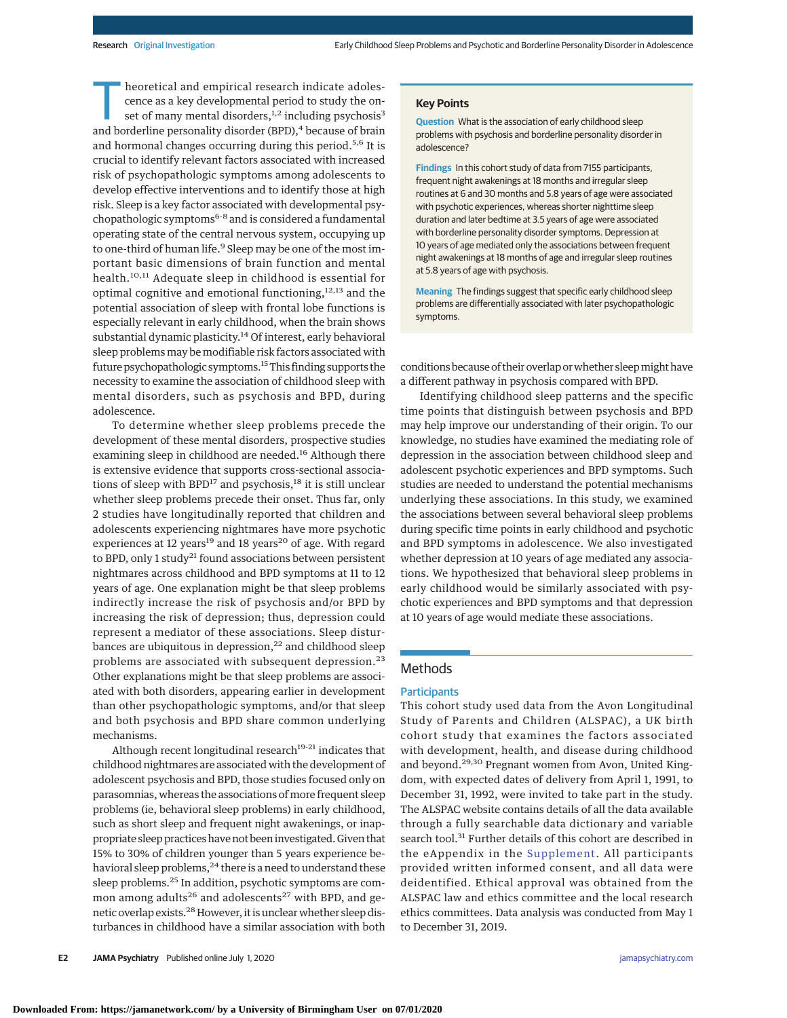Theoretical and empirical research indicate adoles-<br>
cence as a key developmental period to study the on-<br>
set of many mental disorders,<sup>1,2</sup> including psychosis<sup>3</sup><br>
and borderline personality disorder (PPD) <sup>4</sup> because of cence as a key developmental period to study the onand borderline personality disorder (BPD),<sup>4</sup> because of brain and hormonal changes occurring during this period.<sup>5,6</sup> It is crucial to identify relevant factors associated with increased risk of psychopathologic symptoms among adolescents to develop effective interventions and to identify those at high risk. Sleep is a key factor associated with developmental psychopathologic symptoms<sup>6-8</sup> and is considered a fundamental operating state of the central nervous system, occupying up to one-third of human life.<sup>9</sup> Sleep may be one of the most important basic dimensions of brain function and mental health.<sup>10,11</sup> Adequate sleep in childhood is essential for optimal cognitive and emotional functioning,<sup>12,13</sup> and the potential association of sleep with frontal lobe functions is especially relevant in early childhood, when the brain shows substantial dynamic plasticity.<sup>14</sup> Of interest, early behavioral sleep problems may be modifiable risk factors associated with future psychopathologic symptoms.15This finding supports the necessity to examine the association of childhood sleep with mental disorders, such as psychosis and BPD, during adolescence.

To determine whether sleep problems precede the development of these mental disorders, prospective studies examining sleep in childhood are needed.<sup>16</sup> Although there is extensive evidence that supports cross-sectional associations of sleep with  $BPD<sup>17</sup>$  and psychosis,<sup>18</sup> it is still unclear whether sleep problems precede their onset. Thus far, only 2 studies have longitudinally reported that children and adolescents experiencing nightmares have more psychotic experiences at 12 years<sup>19</sup> and 18 years<sup>20</sup> of age. With regard to BPD, only 1 study<sup>21</sup> found associations between persistent nightmares across childhood and BPD symptoms at 11 to 12 years of age. One explanation might be that sleep problems indirectly increase the risk of psychosis and/or BPD by increasing the risk of depression; thus, depression could represent a mediator of these associations. Sleep disturbances are ubiquitous in depression, $22$  and childhood sleep problems are associated with subsequent depression.<sup>23</sup> Other explanations might be that sleep problems are associated with both disorders, appearing earlier in development than other psychopathologic symptoms, and/or that sleep and both psychosis and BPD share common underlying mechanisms.

Although recent longitudinal research $19-21$  indicates that childhood nightmares are associated with the development of adolescent psychosis and BPD, those studies focused only on parasomnias, whereas the associations of more frequent sleep problems (ie, behavioral sleep problems) in early childhood, such as short sleep and frequent night awakenings, or inappropriate sleep practices have not been investigated. Given that 15% to 30% of children younger than 5 years experience behavioral sleep problems,<sup>24</sup> there is a need to understand these sleep problems.<sup>25</sup> In addition, psychotic symptoms are common among adults<sup>26</sup> and adolescents<sup>27</sup> with BPD, and genetic overlap exists.<sup>28</sup> However, it is unclear whether sleep disturbances in childhood have a similar association with both

#### **Key Points**

**Question** What is the association of early childhood sleep problems with psychosis and borderline personality disorder in adolescence?

**Findings** In this cohort study of data from 7155 participants, frequent night awakenings at 18 months and irregular sleep routines at 6 and 30 months and 5.8 years of age were associated with psychotic experiences, whereas shorter nighttime sleep duration and later bedtime at 3.5 years of age were associated with borderline personality disorder symptoms. Depression at 10 years of age mediated only the associations between frequent night awakenings at 18 months of age and irregular sleep routines at 5.8 years of age with psychosis.

**Meaning** The findings suggest that specific early childhood sleep problems are differentially associated with later psychopathologic symptoms.

conditions because of their overlap orwhether sleepmight have a different pathway in psychosis compared with BPD.

Identifying childhood sleep patterns and the specific time points that distinguish between psychosis and BPD may help improve our understanding of their origin. To our knowledge, no studies have examined the mediating role of depression in the association between childhood sleep and adolescent psychotic experiences and BPD symptoms. Such studies are needed to understand the potential mechanisms underlying these associations. In this study, we examined the associations between several behavioral sleep problems during specific time points in early childhood and psychotic and BPD symptoms in adolescence. We also investigated whether depression at 10 years of age mediated any associations. We hypothesized that behavioral sleep problems in early childhood would be similarly associated with psychotic experiences and BPD symptoms and that depression at 10 years of age would mediate these associations.

#### Methods

#### **Participants**

This cohort study used data from the Avon Longitudinal Study of Parents and Children (ALSPAC), a UK birth cohort study that examines the factors associated with development, health, and disease during childhood and beyond.29,30 Pregnant women from Avon, United Kingdom, with expected dates of delivery from April 1, 1991, to December 31, 1992, were invited to take part in the study. The ALSPAC website contains details of all the data available through a fully searchable data dictionary and variable search tool.<sup>31</sup> Further details of this cohort are described in the eAppendix in the [Supplement.](https://jamanetwork.com/journals/jama/fullarticle/10.1001/jamapsychiatry.2020.1875?utm_campaign=articlePDF%26utm_medium=articlePDFlink%26utm_source=articlePDF%26utm_content=jamapsychiatry.2020.1875) All participants provided written informed consent, and all data were deidentified. Ethical approval was obtained from the ALSPAC law and ethics committee and the local research ethics committees. Data analysis was conducted from May 1 to December 31, 2019.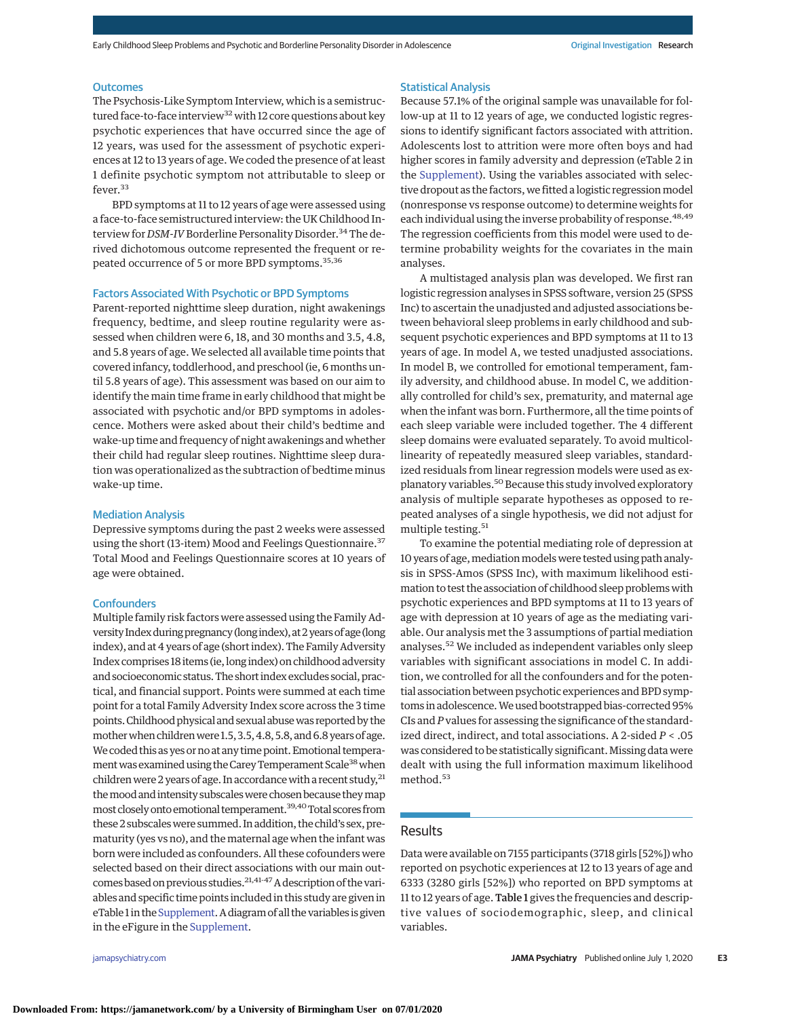#### **Outcomes**

The Psychosis-Like Symptom Interview, which is a semistructured face-to-face interview<sup>32</sup> with 12 core questions about key psychotic experiences that have occurred since the age of 12 years, was used for the assessment of psychotic experiences at 12 to 13 years of age. We coded the presence of at least 1 definite psychotic symptom not attributable to sleep or fever.<sup>33</sup>

BPD symptoms at 11 to 12 years of age were assessed using a face-to-face semistructured interview: the UK Childhood Interview for *DSM-IV* Borderline Personality Disorder.<sup>34</sup> The derived dichotomous outcome represented the frequent or repeated occurrence of 5 or more BPD symptoms.<sup>35,36</sup>

#### Factors Associated With Psychotic or BPD Symptoms

Parent-reported nighttime sleep duration, night awakenings frequency, bedtime, and sleep routine regularity were assessed when children were 6, 18, and 30 months and 3.5, 4.8, and 5.8 years of age. We selected all available time points that covered infancy, toddlerhood, and preschool (ie, 6 months until 5.8 years of age). This assessment was based on our aim to identify the main time frame in early childhood that might be associated with psychotic and/or BPD symptoms in adolescence. Mothers were asked about their child's bedtime and wake-up time and frequency of night awakenings and whether their child had regular sleep routines. Nighttime sleep duration was operationalized as the subtraction of bedtime minus wake-up time.

#### Mediation Analysis

Depressive symptoms during the past 2 weeks were assessed using the short (13-item) Mood and Feelings Questionnaire.<sup>37</sup> Total Mood and Feelings Questionnaire scores at 10 years of age were obtained.

#### **Confounders**

Multiple family risk factors were assessed using the Family Adversity Index during pregnancy (long index), at 2 years of age (long index), and at 4 years of age (short index). The Family Adversity Index comprises 18 items (ie, long index) on childhood adversity and socioeconomic status.The short index excludes social, practical, and financial support. Points were summed at each time point for a total Family Adversity Index score across the 3 time points.Childhood physical and sexual abusewas reported by the mother when children were 1.5, 3.5, 4.8, 5.8, and 6.8 years of age. We coded this as yes or no at any time point. Emotional temperament was examined using the Carey Temperament Scale<sup>38</sup> when children were 2 years of age. In accordance with a recent study, $^{21}$ the mood and intensity subscales were chosen because they map most closely onto emotional temperament.<sup>39,40</sup>Total scores from these 2 subscaleswere summed. In addition, the child's sex, prematurity (yes vs no), and the maternal age when the infant was born were included as confounders. All these cofounders were selected based on their direct associations with our main outcomes based on previous studies.<sup>21,41-47</sup> A description of the variables and specific time points included in this study are given in eTable 1 in the Supplement. A diagram of all the variables is given in the eFigure in the [Supplement.](https://jamanetwork.com/journals/jama/fullarticle/10.1001/jamapsychiatry.2020.1875?utm_campaign=articlePDF%26utm_medium=articlePDFlink%26utm_source=articlePDF%26utm_content=jamapsychiatry.2020.1875)

#### Statistical Analysis

Because 57.1% of the original sample was unavailable for follow-up at 11 to 12 years of age, we conducted logistic regressions to identify significant factors associated with attrition. Adolescents lost to attrition were more often boys and had higher scores in family adversity and depression (eTable 2 in the [Supplement\)](https://jamanetwork.com/journals/jama/fullarticle/10.1001/jamapsychiatry.2020.1875?utm_campaign=articlePDF%26utm_medium=articlePDFlink%26utm_source=articlePDF%26utm_content=jamapsychiatry.2020.1875). Using the variables associated with selective dropout as the factors, we fitted a logistic regression model (nonresponse vs response outcome) to determine weights for each individual using the inverse probability of response.<sup>48,49</sup> The regression coefficients from this model were used to determine probability weights for the covariates in the main analyses.

A multistaged analysis plan was developed. We first ran logistic regression analyses in SPSS software, version 25 (SPSS Inc) to ascertain the unadjusted and adjusted associations between behavioral sleep problems in early childhood and subsequent psychotic experiences and BPD symptoms at 11 to 13 years of age. In model A, we tested unadjusted associations. In model B, we controlled for emotional temperament, family adversity, and childhood abuse. In model C, we additionally controlled for child's sex, prematurity, and maternal age when the infant was born. Furthermore, all the time points of each sleep variable were included together. The 4 different sleep domains were evaluated separately. To avoid multicollinearity of repeatedly measured sleep variables, standardized residuals from linear regression models were used as explanatory variables.50 Because this study involved exploratory analysis of multiple separate hypotheses as opposed to repeated analyses of a single hypothesis, we did not adjust for multiple testing.<sup>51</sup>

To examine the potential mediating role of depression at 10 years of age, mediation models were tested using path analysis in SPSS-Amos (SPSS Inc), with maximum likelihood estimation to test the association of childhood sleep problems with psychotic experiences and BPD symptoms at 11 to 13 years of age with depression at 10 years of age as the mediating variable. Our analysis met the 3 assumptions of partial mediation analyses.<sup>52</sup> We included as independent variables only sleep variables with significant associations in model C. In addition, we controlled for all the confounders and for the potential association between psychotic experiences and BPD symptoms in adolescence.We used bootstrapped bias-corrected 95% CIs and *P* values for assessing the significance of the standardized direct, indirect, and total associations. A 2-sided *P* < .05 was considered to be statistically significant. Missing data were dealt with using the full information maximum likelihood method.<sup>53</sup>

### Results

Data were available on 7155 participants (3718 girls [52%]) who reported on psychotic experiences at 12 to 13 years of age and 6333 (3280 girls [52%]) who reported on BPD symptoms at 11 to 12 years of age. Table 1 gives the frequencies and descriptive values of sociodemographic, sleep, and clinical variables.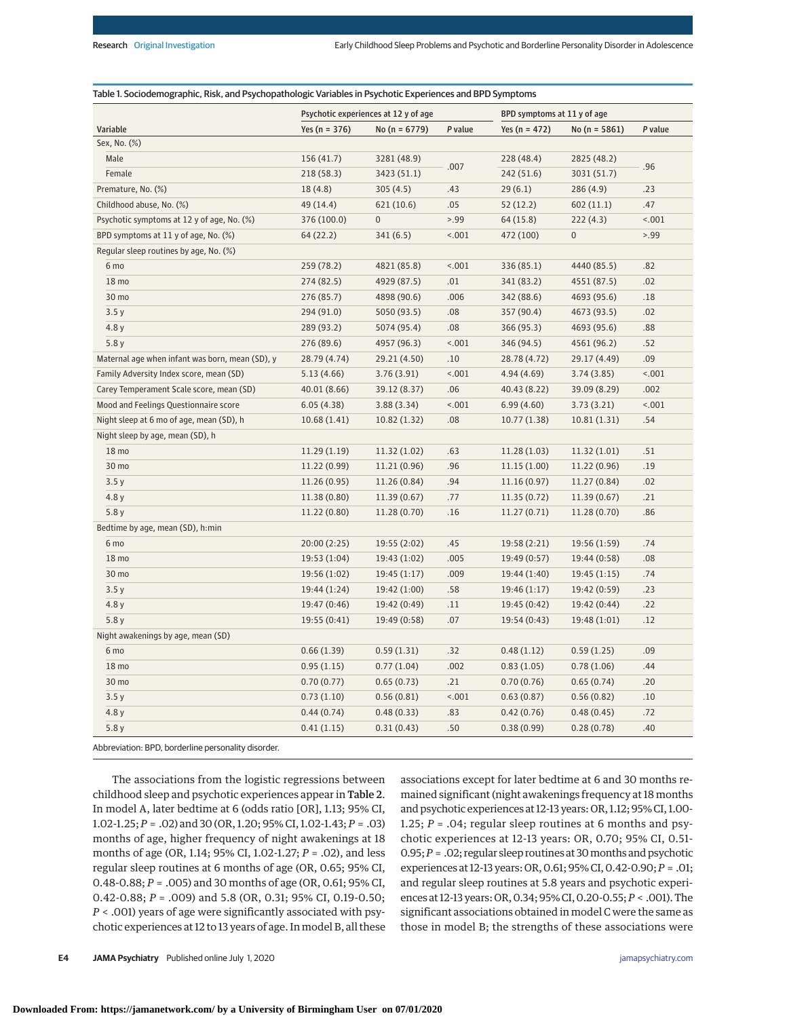|                                                 |                   | Psychotic experiences at 12 y of age | BPD symptoms at 11 y of age |                   |                   |         |
|-------------------------------------------------|-------------------|--------------------------------------|-----------------------------|-------------------|-------------------|---------|
| Variable                                        | Yes ( $n = 376$ ) | No ( $n = 6779$ )                    | P value                     | Yes ( $n = 472$ ) | No ( $n = 5861$ ) | P value |
| Sex, No. (%)                                    |                   |                                      |                             |                   |                   |         |
| Male                                            | 156(41.7)         | 3281 (48.9)                          |                             | 228(48.4)         | 2825 (48.2)       |         |
| Female                                          | 218(58.3)         | 3423 (51.1)                          | .007                        | 242(51.6)         | 3031 (51.7)       | .96     |
| Premature, No. (%)                              | 18(4.8)           | 305(4.5)                             | .43                         | 29(6.1)           | 286(4.9)          | .23     |
| Childhood abuse, No. (%)                        | 49 (14.4)         | 621 (10.6)                           | .05                         | 52(12.2)          | 602(11.1)         | .47     |
| Psychotic symptoms at 12 y of age, No. (%)      | 376 (100.0)       | $\pmb{0}$                            | 5.99                        | 64 (15.8)         | 222(4.3)          | 1001    |
| BPD symptoms at 11 y of age, No. (%)            | 64 (22.2)         | 341 (6.5)                            | 15.001                      | 472 (100)         | $\boldsymbol{0}$  | 5.99    |
| Regular sleep routines by age, No. (%)          |                   |                                      |                             |                   |                   |         |
| 6 mo                                            | 259 (78.2)        | 4821 (85.8)                          | 15.001                      | 336 (85.1)        | 4440 (85.5)       | .82     |
| 18 mo                                           | 274(82.5)         | 4929 (87.5)                          | .01                         | 341 (83.2)        | 4551 (87.5)       | .02     |
| 30 mo                                           | 276 (85.7)        | 4898 (90.6)                          | .006                        | 342 (88.6)        | 4693 (95.6)       | .18     |
| 3.5y                                            | 294 (91.0)        | 5050 (93.5)                          | .08                         | 357 (90.4)        | 4673 (93.5)       | .02     |
| 4.8 y                                           | 289 (93.2)        | 5074 (95.4)                          | .08                         | 366 (95.3)        | 4693 (95.6)       | .88     |
| 5.8y                                            | 276 (89.6)        | 4957 (96.3)                          | 1001                        | 346 (94.5)        | 4561 (96.2)       | .52     |
| Maternal age when infant was born, mean (SD), y | 28.79 (4.74)      | 29.21 (4.50)                         | $.10$                       | 28.78 (4.72)      | 29.17 (4.49)      | .09     |
| Family Adversity Index score, mean (SD)         | 5.13(4.66)        | 3.76(3.91)                           | 15.001                      | 4.94(4.69)        | 3.74(3.85)        | 1001    |
| Carey Temperament Scale score, mean (SD)        | 40.01 (8.66)      | 39.12 (8.37)                         | .06                         | 40.43 (8.22)      | 39.09 (8.29)      | .002    |
| Mood and Feelings Questionnaire score           | 6.05(4.38)        | 3.88(3.34)                           | 1001                        | 6.99(4.60)        | 3.73(3.21)        | 1001    |
| Night sleep at 6 mo of age, mean (SD), h        | 10.68(1.41)       | 10.82(1.32)                          | .08                         | 10.77(1.38)       | 10.81(1.31)       | .54     |
| Night sleep by age, mean (SD), h                |                   |                                      |                             |                   |                   |         |
| 18 mo                                           | 11.29(1.19)       | 11.32 (1.02)                         | .63                         | 11.28(1.03)       | 11.32(1.01)       | .51     |
| 30 mo                                           | 11.22 (0.99)      | 11.21 (0.96)                         | .96                         | 11.15(1.00)       | 11.22 (0.96)      | .19     |
| 3.5y                                            | 11.26(0.95)       | 11.26 (0.84)                         | .94                         | 11.16(0.97)       | 11.27(0.84)       | .02     |
| 4.8y                                            | 11.38 (0.80)      | 11.39(0.67)                          | .77                         | 11.35(0.72)       | 11.39(0.67)       | .21     |
| 5.8y                                            | 11.22(0.80)       | 11.28 (0.70)                         | .16                         | 11.27(0.71)       | 11.28(0.70)       | .86     |
| Bedtime by age, mean (SD), h:min                |                   |                                      |                             |                   |                   |         |
| 6 mo                                            | 20:00 (2:25)      | 19:55 (2:02)                         | .45                         | 19:58 (2:21)      | 19:56(1:59)       | .74     |
| 18 mo                                           | 19:53 (1:04)      | 19:43 (1:02)                         | .005                        | 19:49 (0:57)      | 19:44 (0:58)      | .08     |
| 30 mo                                           | 19:56(1:02)       | 19:45(1:17)                          | .009                        | 19:44 (1:40)      | 19:45(1:15)       | .74     |
| 3.5y                                            | 19:44 (1:24)      | 19:42 (1:00)                         | .58                         | 19:46 (1:17)      | 19:42 (0:59)      | .23     |
| 4.8y                                            | 19:47 (0:46)      | 19:42 (0:49)                         | .11                         | 19:45 (0:42)      | 19:42 (0:44)      | .22     |
| 5.8y                                            | 19:55 (0:41)      | 19:49 (0:58)                         | .07                         | 19:54 (0:43)      | 19:48 (1:01)      | .12     |
| Night awakenings by age, mean (SD)              |                   |                                      |                             |                   |                   |         |
| 6 mo                                            | 0.66(1.39)        | 0.59(1.31)                           | .32                         | 0.48(1.12)        | 0.59(1.25)        | .09     |
| 18 mo                                           | 0.95(1.15)        | 0.77(1.04)                           | .002                        | 0.83(1.05)        | 0.78(1.06)        | .44     |
| 30 mo                                           | 0.70(0.77)        | 0.65(0.73)                           | .21                         | 0.70(0.76)        | 0.65(0.74)        | .20     |
| 3.5y                                            | 0.73(1.10)        | 0.56(0.81)                           | 15001                       | 0.63(0.87)        | 0.56(0.82)        | .10     |
| 4.8 y                                           | 0.44(0.74)        | 0.48(0.33)                           | .83                         | 0.42(0.76)        | 0.48(0.45)        | .72     |
| 5.8y                                            | 0.41(1.15)        | 0.31(0.43)                           | .50                         | 0.38(0.99)        | 0.28(0.78)        | .40     |

Abbreviation: BPD, borderline personality disorder.

The associations from the logistic regressions between childhood sleep and psychotic experiences appear in Table 2. In model A, later bedtime at 6 (odds ratio [OR], 1.13; 95% CI, 1.02-1.25; *P* = .02) and 30 (OR, 1.20; 95% CI, 1.02-1.43; *P* = .03) months of age, higher frequency of night awakenings at 18 months of age (OR, 1.14; 95% CI, 1.02-1.27; *P* = .02), and less regular sleep routines at 6 months of age (OR, 0.65; 95% CI, 0.48-0.88; *P* = .005) and 30 months of age (OR, 0.61; 95% CI, 0.42-0.88; *P* = .009) and 5.8 (OR, 0.31; 95% CI, 0.19-0.50; *P* < .001) years of age were significantly associated with psychotic experiences at 12 to 13 years of age. In model B, all these associations except for later bedtime at 6 and 30 months remained significant (night awakenings frequency at 18 months and psychotic experiences at 12-13 years: OR, 1.12; 95% CI, 1.00- 1.25; *P* = .04; regular sleep routines at 6 months and psychotic experiences at 12-13 years: OR, 0.70; 95% CI, 0.51- 0.95;*P* = .02; regular sleep routines at 30months and psychotic experiences at 12-13 years: OR, 0.61; 95% CI, 0.42-0.90;*P* = .01; and regular sleep routines at 5.8 years and psychotic experiences at 12-13 years: OR, 0.34; 95% CI, 0.20-0.55;*P* < .001). The significant associations obtained in model C were the same as those in model B; the strengths of these associations were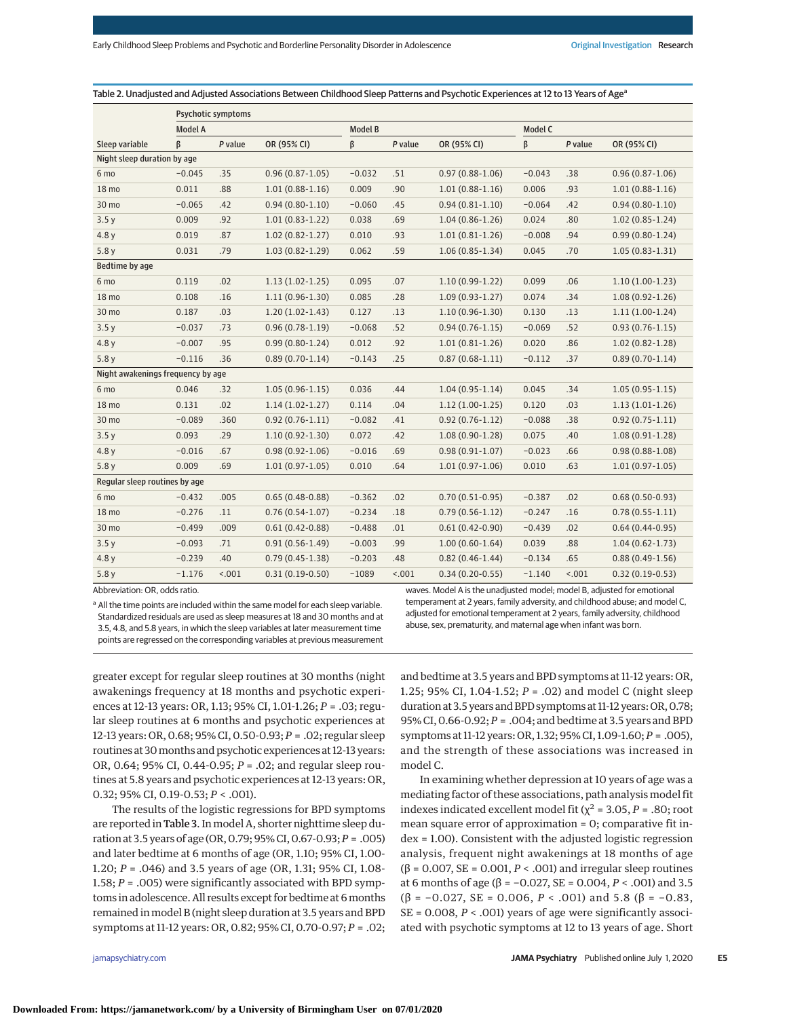Table 2. Unadjusted and Adjusted Associations Between Childhood Sleep Patterns and Psychotic Experiences at 12 to 13 Years of Age<sup>a</sup>

|                                   | Psychotic symptoms |         |                     |                |         |                     |          |         |                     |
|-----------------------------------|--------------------|---------|---------------------|----------------|---------|---------------------|----------|---------|---------------------|
|                                   | <b>Model A</b>     |         |                     | <b>Model B</b> |         |                     | Model C  |         |                     |
| Sleep variable                    | ß                  | P value | OR (95% CI)         | β              | P value | OR (95% CI)         | β        | P value | OR (95% CI)         |
| Night sleep duration by age       |                    |         |                     |                |         |                     |          |         |                     |
| 6 mo                              | $-0.045$           | .35     | $0.96(0.87 - 1.05)$ | $-0.032$       | .51     | $0.97(0.88 - 1.06)$ | $-0.043$ | .38     | $0.96(0.87 - 1.06)$ |
| 18 mo                             | 0.011              | .88     | $1.01(0.88-1.16)$   | 0.009          | .90     | $1.01(0.88-1.16)$   | 0.006    | .93     | $1.01(0.88-1.16)$   |
| 30 mo                             | $-0.065$           | .42     | $0.94(0.80-1.10)$   | $-0.060$       | .45     | $0.94(0.81 - 1.10)$ | $-0.064$ | .42     | $0.94(0.80 - 1.10)$ |
| 3.5y                              | 0.009              | .92     | $1.01(0.83-1.22)$   | 0.038          | .69     | $1.04(0.86 - 1.26)$ | 0.024    | .80     | $1.02(0.85 - 1.24)$ |
| 4.8y                              | 0.019              | .87     | $1.02(0.82 - 1.27)$ | 0.010          | .93     | $1.01(0.81-1.26)$   | $-0.008$ | .94     | $0.99(0.80 - 1.24)$ |
| 5.8y                              | 0.031              | .79     | $1.03(0.82 - 1.29)$ | 0.062          | .59     | $1.06(0.85 - 1.34)$ | 0.045    | .70     | $1.05(0.83 - 1.31)$ |
| Bedtime by age                    |                    |         |                     |                |         |                     |          |         |                     |
| 6 mo                              | 0.119              | .02     | $1.13(1.02-1.25)$   | 0.095          | .07     | $1.10(0.99-1.22)$   | 0.099    | .06     | $1.10(1.00-1.23)$   |
| 18 mo                             | 0.108              | .16     | $1.11(0.96-1.30)$   | 0.085          | .28     | $1.09(0.93-1.27)$   | 0.074    | .34     | $1.08(0.92 - 1.26)$ |
| 30 mo                             | 0.187              | .03     | $1.20(1.02-1.43)$   | 0.127          | .13     | $1.10(0.96 - 1.30)$ | 0.130    | .13     | $1.11(1.00-1.24)$   |
| 3.5y                              | $-0.037$           | .73     | $0.96(0.78-1.19)$   | $-0.068$       | .52     | $0.94(0.76 - 1.15)$ | $-0.069$ | .52     | $0.93(0.76 - 1.15)$ |
| 4.8y                              | $-0.007$           | .95     | $0.99(0.80 - 1.24)$ | 0.012          | .92     | $1.01(0.81 - 1.26)$ | 0.020    | .86     | $1.02(0.82 - 1.28)$ |
| 5.8y                              | $-0.116$           | .36     | $0.89(0.70-1.14)$   | $-0.143$       | .25     | $0.87(0.68-1.11)$   | $-0.112$ | .37     | $0.89(0.70-1.14)$   |
| Night awakenings frequency by age |                    |         |                     |                |         |                     |          |         |                     |
| 6 mo                              | 0.046              | .32     | $1.05(0.96-1.15)$   | 0.036          | .44     | $1.04(0.95-1.14)$   | 0.045    | .34     | $1.05(0.95 - 1.15)$ |
| 18 mo                             | 0.131              | .02     | $1.14(1.02-1.27)$   | 0.114          | .04     | $1.12(1.00-1.25)$   | 0.120    | .03     | $1.13(1.01-1.26)$   |
| 30 mo                             | $-0.089$           | .360    | $0.92(0.76-1.11)$   | $-0.082$       | .41     | $0.92(0.76-1.12)$   | $-0.088$ | .38     | $0.92(0.75 - 1.11)$ |
| 3.5y                              | 0.093              | .29     | $1.10(0.92 - 1.30)$ | 0.072          | .42     | $1.08(0.90-1.28)$   | 0.075    | .40     | $1.08(0.91 - 1.28)$ |
| 4.8y                              | $-0.016$           | .67     | $0.98(0.92 - 1.06)$ | $-0.016$       | .69     | $0.98(0.91 - 1.07)$ | $-0.023$ | .66     | $0.98(0.88 - 1.08)$ |
| 5.8y                              | 0.009              | .69     | $1.01(0.97-1.05)$   | 0.010          | .64     | $1.01(0.97-1.06)$   | 0.010    | .63     | $1.01(0.97-1.05)$   |
| Regular sleep routines by age     |                    |         |                     |                |         |                     |          |         |                     |
| 6 mo                              | $-0.432$           | .005    | $0.65(0.48-0.88)$   | $-0.362$       | .02     | $0.70(0.51-0.95)$   | $-0.387$ | .02     | $0.68(0.50-0.93)$   |
| 18 mo                             | $-0.276$           | .11     | $0.76(0.54-1.07)$   | $-0.234$       | .18     | $0.79(0.56 - 1.12)$ | $-0.247$ | .16     | $0.78(0.55 - 1.11)$ |
| 30 mo                             | $-0.499$           | .009    | $0.61(0.42 - 0.88)$ | $-0.488$       | .01     | $0.61(0.42 - 0.90)$ | $-0.439$ | .02     | $0.64(0.44-0.95)$   |
| 3.5y                              | $-0.093$           | .71     | $0.91(0.56 - 1.49)$ | $-0.003$       | .99     | $1.00(0.60-1.64)$   | 0.039    | .88     | $1.04(0.62 - 1.73)$ |
| 4.8y                              | $-0.239$           | .40     | $0.79(0.45-1.38)$   | $-0.203$       | .48     | $0.82(0.46-1.44)$   | $-0.134$ | .65     | $0.88(0.49-1.56)$   |
| 5.8y                              | $-1.176$           | 15.001  | $0.31(0.19-0.50)$   | $-1089$        | 15.001  | $0.34(0.20-0.55)$   | $-1.140$ | 15.001  | $0.32(0.19-0.53)$   |

model C.

Abbreviation: OR, odds ratio.

<sup>a</sup> All the time points are included within the same model for each sleep variable. Standardized residuals are used as sleep measures at 18 and 30 months and at 3.5, 4.8, and 5.8 years, in which the sleep variables at later measurement time points are regressed on the corresponding variables at previous measurement waves. Model A is the unadjusted model; model B, adjusted for emotional temperament at 2 years, family adversity, and childhood abuse; and model C, adjusted for emotional temperament at 2 years, family adversity, childhood abuse, sex, prematurity, and maternal age when infant was born.

and bedtime at 3.5 years and BPD symptoms at 11-12 years: OR, 1.25; 95% CI, 1.04-1.52; *P* = .02) and model C (night sleep duration at 3.5 years and BPD symptoms at 11-12 years: OR, 0.78; 95% CI, 0.66-0.92; *P* = .004; and bedtime at 3.5 years and BPD symptoms at 11-12 years: OR, 1.32; 95% CI, 1.09-1.60; *P* = .005), and the strength of these associations was increased in

In examining whether depression at 10 years of age was a mediating factor of these associations, path analysis model fit indexes indicated excellent model fit ( $\chi^2$  = 3.05, *P* = .80; root mean square error of approximation = 0; comparative fit index = 1.00). Consistent with the adjusted logistic regression analysis, frequent night awakenings at 18 months of age ( $\beta$  = 0.007, SE = 0.001, *P* < .001) and irregular sleep routines at 6 months of age (β =  $-0.027$ , SE = 0.004, *P* < .001) and 3.5 ( $\beta$  = -0.027, SE = 0.006, *P* < .001) and 5.8 ( $\beta$  = -0.83, SE = 0.008, *P* < .001) years of age were significantly associated with psychotic symptoms at 12 to 13 years of age. Short

greater except for regular sleep routines at 30 months (night awakenings frequency at 18 months and psychotic experiences at 12-13 years: OR, 1.13; 95% CI, 1.01-1.26; *P* = .03; regular sleep routines at 6 months and psychotic experiences at 12-13 years: OR, 0.68; 95% CI, 0.50-0.93; *P* = .02; regular sleep routines at 30 months and psychotic experiences at 12-13 years: OR, 0.64; 95% CI, 0.44-0.95; *P* = .02; and regular sleep routines at 5.8 years and psychotic experiences at 12-13 years: OR, 0.32; 95% CI, 0.19-0.53; *P* < .001).

The results of the logistic regressions for BPD symptoms are reported in Table 3. In model A, shorter nighttime sleep duration at 3.5 years of age (OR, 0.79; 95% CI, 0.67-0.93;*P* = .005) and later bedtime at 6 months of age (OR, 1.10; 95% CI, 1.00- 1.20; *P* = .046) and 3.5 years of age (OR, 1.31; 95% CI, 1.08- 1.58; *P* = .005) were significantly associated with BPD symptoms in adolescence. All results except for bedtime at 6 months remained inmodel B (night sleep duration at 3.5 years and BPD symptoms at 11-12 years: OR, 0.82; 95% CI, 0.70-0.97; *P* = .02;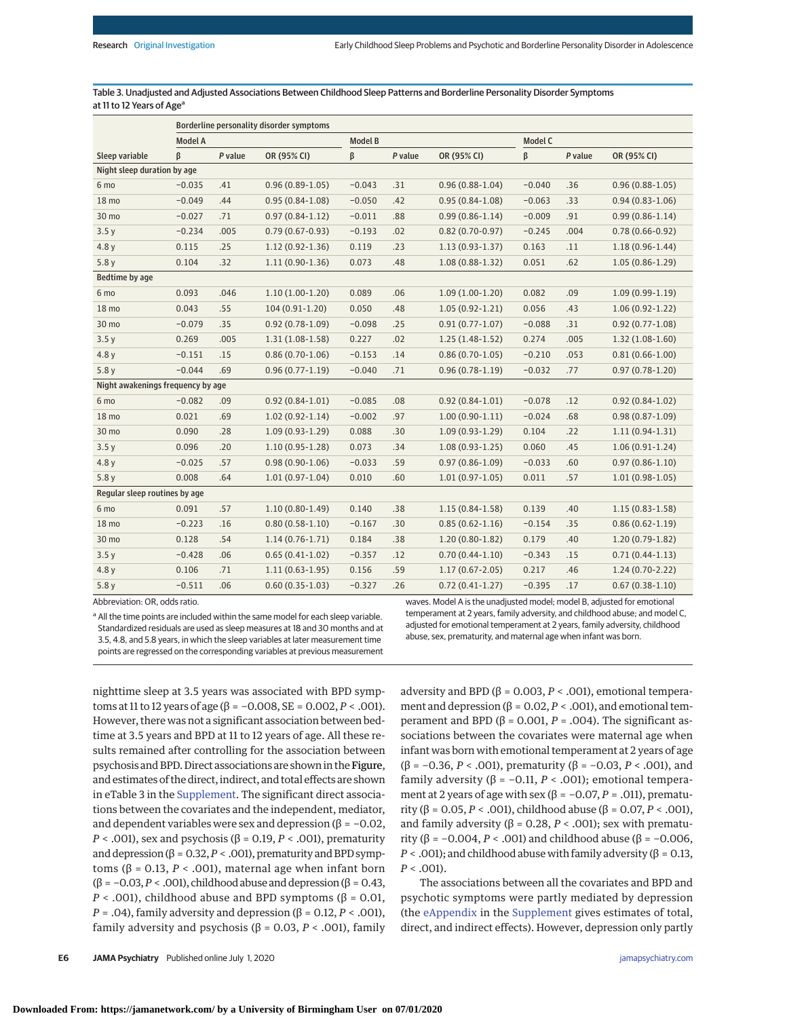Table 3. Unadjusted and Adjusted Associations Between Childhood Sleep Patterns and Borderline Personality Disorder Symptoms at 11 to 12 Years of Age<sup>a</sup>

|                                   | Borderline personality disorder symptoms |         |                     |                |         |                     |          |         |                     |
|-----------------------------------|------------------------------------------|---------|---------------------|----------------|---------|---------------------|----------|---------|---------------------|
|                                   | <b>Model A</b>                           |         |                     | <b>Model B</b> |         |                     | Model C  |         |                     |
| Sleep variable                    | ß                                        | P value | OR (95% CI)         | β              | P value | OR (95% CI)         | β        | P value | OR (95% CI)         |
| Night sleep duration by age       |                                          |         |                     |                |         |                     |          |         |                     |
| 6 mo                              | $-0.035$                                 | .41     | $0.96(0.89-1.05)$   | $-0.043$       | .31     | $0.96(0.88-1.04)$   | $-0.040$ | .36     | $0.96(0.88-1.05)$   |
| 18 mo                             | $-0.049$                                 | .44     | $0.95(0.84-1.08)$   | $-0.050$       | .42     | $0.95(0.84 - 1.08)$ | $-0.063$ | .33     | $0.94(0.83 - 1.06)$ |
| 30 mo                             | $-0.027$                                 | .71     | $0.97(0.84 - 1.12)$ | $-0.011$       | .88     | $0.99(0.86 - 1.14)$ | $-0.009$ | .91     | $0.99(0.86 - 1.14)$ |
| 3.5y                              | $-0.234$                                 | .005    | $0.79(0.67 - 0.93)$ | $-0.193$       | .02     | $0.82(0.70-0.97)$   | $-0.245$ | .004    | $0.78(0.66 - 0.92)$ |
| 4.8y                              | 0.115                                    | .25     | $1.12(0.92 - 1.36)$ | 0.119          | .23     | $1.13(0.93-1.37)$   | 0.163    | .11     | $1.18(0.96 - 1.44)$ |
| 5.8y                              | 0.104                                    | .32     | $1.11(0.90-1.36)$   | 0.073          | .48     | $1.08(0.88-1.32)$   | 0.051    | .62     | $1.05(0.86 - 1.29)$ |
| Bedtime by age                    |                                          |         |                     |                |         |                     |          |         |                     |
| 6 mo                              | 0.093                                    | .046    | $1.10(1.00-1.20)$   | 0.089          | .06     | $1.09(1.00-1.20)$   | 0.082    | .09     | $1.09(0.99-1.19)$   |
| 18 mo                             | 0.043                                    | .55     | $104(0.91-1.20)$    | 0.050          | .48     | $1.05(0.92 - 1.21)$ | 0.056    | .43     | $1.06(0.92 - 1.22)$ |
| 30 mo                             | $-0.079$                                 | .35     | $0.92(0.78-1.09)$   | $-0.098$       | .25     | $0.91(0.77-1.07)$   | $-0.088$ | .31     | $0.92(0.77 - 1.08)$ |
| 3.5y                              | 0.269                                    | .005    | $1.31(1.08-1.58)$   | 0.227          | .02     | $1.25(1.48-1.52)$   | 0.274    | .005    | $1.32(1.08-1.60)$   |
| 4.8y                              | $-0.151$                                 | .15     | $0.86(0.70-1.06)$   | $-0.153$       | .14     | $0.86(0.70-1.05)$   | $-0.210$ | .053    | $0.81(0.66 - 1.00)$ |
| 5.8y                              | $-0.044$                                 | .69     | $0.96(0.77-1.19)$   | $-0.040$       | .71     | $0.96(0.78-1.19)$   | $-0.032$ | .77     | $0.97(0.78 - 1.20)$ |
| Night awakenings frequency by age |                                          |         |                     |                |         |                     |          |         |                     |
| 6 mo                              | $-0.082$                                 | .09     | $0.92(0.84 - 1.01)$ | $-0.085$       | .08     | $0.92(0.84-1.01)$   | $-0.078$ | .12     | $0.92(0.84-1.02)$   |
| 18 mo                             | 0.021                                    | .69     | $1.02(0.92 - 1.14)$ | $-0.002$       | .97     | $1.00(0.90-1.11)$   | $-0.024$ | .68     | $0.98(0.87 - 1.09)$ |
| 30 mo                             | 0.090                                    | .28     | $1.09(0.93-1.29)$   | 0.088          | .30     | $1.09(0.93-1.29)$   | 0.104    | .22     | $1.11(0.94-1.31)$   |
| 3.5y                              | 0.096                                    | .20     | $1.10(0.95 - 1.28)$ | 0.073          | .34     | $1.08(0.93-1.25)$   | 0.060    | .45     | $1.06(0.91-1.24)$   |
| 4.8y                              | $-0.025$                                 | .57     | $0.98(0.90-1.06)$   | $-0.033$       | .59     | $0.97(0.86 - 1.09)$ | $-0.033$ | .60     | $0.97(0.86 - 1.10)$ |
| 5.8y                              | 0.008                                    | .64     | $1.01(0.97-1.04)$   | 0.010          | .60     | $1.01(0.97-1.05)$   | 0.011    | .57     | $1.01(0.98-1.05)$   |
| Regular sleep routines by age     |                                          |         |                     |                |         |                     |          |         |                     |
| 6 mo                              | 0.091                                    | .57     | $1.10(0.80-1.49)$   | 0.140          | .38     | $1.15(0.84 - 1.58)$ | 0.139    | .40     | $1.15(0.83 - 1.58)$ |
| 18 mo                             | $-0.223$                                 | .16     | $0.80(0.58 - 1.10)$ | $-0.167$       | .30     | $0.85(0.62 - 1.16)$ | $-0.154$ | .35     | $0.86(0.62 - 1.19)$ |
| 30 mo                             | 0.128                                    | .54     | $1.14(0.76-1.71)$   | 0.184          | .38     | $1.20(0.80-1.82)$   | 0.179    | .40     | $1.20(0.79-1.82)$   |
| 3.5y                              | $-0.428$                                 | .06     | $0.65(0.41-1.02)$   | $-0.357$       | .12     | $0.70(0.44 - 1.10)$ | $-0.343$ | .15     | $0.71(0.44-1.13)$   |
| 4.8y                              | 0.106                                    | .71     | $1.11(0.63-1.95)$   | 0.156          | .59     | $1.17(0.67 - 2.05)$ | 0.217    | .46     | $1.24(0.70-2.22)$   |
| 5.8y                              | $-0.511$                                 | .06     | $0.60(0.35 - 1.03)$ | $-0.327$       | .26     | $0.72(0.41-1.27)$   | $-0.395$ | .17     | $0.67(0.38-1.10)$   |

Abbreviation: OR, odds ratio.

<sup>a</sup> All the time points are included within the same model for each sleep variable. Standardized residuals are used as sleep measures at 18 and 30 months and at 3.5, 4.8, and 5.8 years, in which the sleep variables at later measurement time points are regressed on the corresponding variables at previous measurement waves. Model A is the unadjusted model; model B, adjusted for emotional temperament at 2 years, family adversity, and childhood abuse; and model C, adjusted for emotional temperament at 2 years, family adversity, childhood abuse, sex, prematurity, and maternal age when infant was born.

nighttime sleep at 3.5 years was associated with BPD symptoms at 11 to 12 years of age (β = −0.008, SE = 0.002, *P* < .001). However, there was not a significant association between bedtime at 3.5 years and BPD at 11 to 12 years of age. All these results remained after controlling for the association between psychosis and BPD. Direct associations are shown in the Figure, and estimates of the direct, indirect, and total effects are shown in eTable 3 in the [Supplement.](https://jamanetwork.com/journals/jama/fullarticle/10.1001/jamapsychiatry.2020.1875?utm_campaign=articlePDF%26utm_medium=articlePDFlink%26utm_source=articlePDF%26utm_content=jamapsychiatry.2020.1875) The significant direct associations between the covariates and the independent, mediator, and dependent variables were sex and depression ( $\beta$  = -0.02, *P* < .001), sex and psychosis (β = 0.19, *P* < .001), prematurity and depression ( $\beta$  = 0.32,  $P <$  .001), prematurity and BPD symptoms ( $β = 0.13, P < .001$ ), maternal age when infant born (β = −0.03,*P* < .001), childhood abuse and depression (β = 0.43, *P* < .001), childhood abuse and BPD symptoms ( $\beta$  = 0.01, *P* = .04), family adversity and depression ( $β$  = 0.12,  $P$  < .001), family adversity and psychosis (β = 0.03, *P* < .001), family

**E6 JAMA Psychiatry** Published online July 1, 2020 **(Reprinted)** [jamapsychiatry.com](http://www.jamapsychiatry.com?utm_campaign=articlePDF%26utm_medium=articlePDFlink%26utm_source=articlePDF%26utm_content=jamapsychiatry.2020.1875)

adversity and BPD ( $β = 0.003, P < .001$ ), emotional temperament and depression ( $β = 0.02, P < .001$ ), and emotional temperament and BPD ( $β = 0.001$ ,  $P = .004$ ). The significant associations between the covariates were maternal age when infant was born with emotional temperament at 2 years of age (β = −0.36, *P* < .001), prematurity (β = −0.03, *P* < .001), and family adversity ( $β = -0.11$ ,  $P < .001$ ); emotional temperament at 2 years of age with sex (β =  $-0.07$ , *P* = .011), prematurity (β = 0.05, *P* < .001), childhood abuse (β = 0.07, *P* < .001), and family adversity ( $β = 0.28, P < .001$ ); sex with prematurity (β = −0.004, *P* < .001) and childhood abuse (β = −0.006,  $P <$  .001); and childhood abuse with family adversity ( $\beta$  = 0.13,  $P < .001$ ).

The associations between all the covariates and BPD and psychotic symptoms were partly mediated by depression (the [eAppendix](https://jamanetwork.com/journals/jama/fullarticle/10.1001/jamapsychiatry.2020.1875?utm_campaign=articlePDF%26utm_medium=articlePDFlink%26utm_source=articlePDF%26utm_content=jamapsychiatry.2020.1875) in the [Supplement](https://jamanetwork.com/journals/jama/fullarticle/10.1001/jamapsychiatry.2020.1875?utm_campaign=articlePDF%26utm_medium=articlePDFlink%26utm_source=articlePDF%26utm_content=jamapsychiatry.2020.1875) gives estimates of total, direct, and indirect effects). However, depression only partly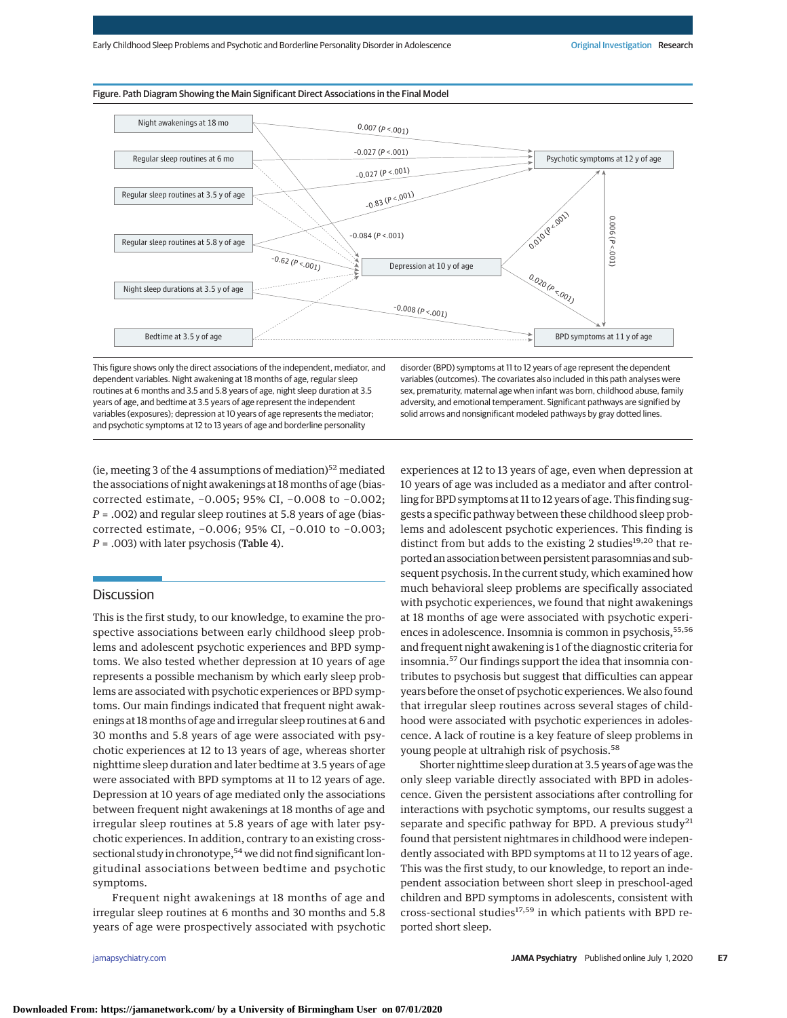#### Figure. Path Diagram Showing the Main Significant Direct Associations in the Final Model



This figure shows only the direct associations of the independent, mediator, and dependent variables. Night awakening at 18 months of age, regular sleep routines at 6 months and 3.5 and 5.8 years of age, night sleep duration at 3.5 years of age, and bedtime at 3.5 years of age represent the independent variables (exposures); depression at 10 years of age represents the mediator; and psychotic symptoms at 12 to 13 years of age and borderline personality

disorder (BPD) symptoms at 11 to 12 years of age represent the dependent variables (outcomes). The covariates also included in this path analyses were sex, prematurity, maternal age when infant was born, childhood abuse, family adversity, and emotional temperament. Significant pathways are signified by solid arrows and nonsignificant modeled pathways by gray dotted lines.

(ie, meeting 3 of the 4 assumptions of mediation) $52$  mediated the associations of night awakenings at 18 months of age (biascorrected estimate, −0.005; 95% CI, −0.008 to −0.002; *P* = .002) and regular sleep routines at 5.8 years of age (biascorrected estimate, −0.006; 95% CI, −0.010 to −0.003; *P* = .003) with later psychosis (Table 4).

#### **Discussion**

This is the first study, to our knowledge, to examine the prospective associations between early childhood sleep problems and adolescent psychotic experiences and BPD symptoms. We also tested whether depression at 10 years of age represents a possible mechanism by which early sleep problems are associated with psychotic experiences or BPD symptoms. Our main findings indicated that frequent night awakenings at 18 months of age and irregular sleep routines at 6 and 30 months and 5.8 years of age were associated with psychotic experiences at 12 to 13 years of age, whereas shorter nighttime sleep duration and later bedtime at 3.5 years of age were associated with BPD symptoms at 11 to 12 years of age. Depression at 10 years of age mediated only the associations between frequent night awakenings at 18 months of age and irregular sleep routines at 5.8 years of age with later psychotic experiences. In addition, contrary to an existing crosssectional study in chronotype,<sup>54</sup> we did not find significant longitudinal associations between bedtime and psychotic symptoms.

Frequent night awakenings at 18 months of age and irregular sleep routines at 6 months and 30 months and 5.8 years of age were prospectively associated with psychotic

experiences at 12 to 13 years of age, even when depression at 10 years of age was included as a mediator and after controlling for BPD symptoms at 11 to 12 years of age. This finding suggests a specific pathway between these childhood sleep problems and adolescent psychotic experiences. This finding is distinct from but adds to the existing 2 studies<sup>19,20</sup> that reported an association between persistent parasomnias and subsequent psychosis. In the current study, which examined how much behavioral sleep problems are specifically associated with psychotic experiences, we found that night awakenings at 18 months of age were associated with psychotic experiences in adolescence. Insomnia is common in psychosis,<sup>55,56</sup> and frequent night awakening is 1 of the diagnostic criteria for insomnia.<sup>57</sup> Our findings support the idea that insomnia contributes to psychosis but suggest that difficulties can appear years before the onset of psychotic experiences.We also found that irregular sleep routines across several stages of childhood were associated with psychotic experiences in adolescence. A lack of routine is a key feature of sleep problems in young people at ultrahigh risk of psychosis.<sup>58</sup>

Shorter nighttime sleep duration at 3.5 years of age was the only sleep variable directly associated with BPD in adolescence. Given the persistent associations after controlling for interactions with psychotic symptoms, our results suggest a separate and specific pathway for BPD. A previous study<sup>21</sup> found that persistent nightmares in childhood were independently associated with BPD symptoms at 11 to 12 years of age. This was the first study, to our knowledge, to report an independent association between short sleep in preschool-aged children and BPD symptoms in adolescents, consistent with cross-sectional studies<sup>17,59</sup> in which patients with BPD reported short sleep.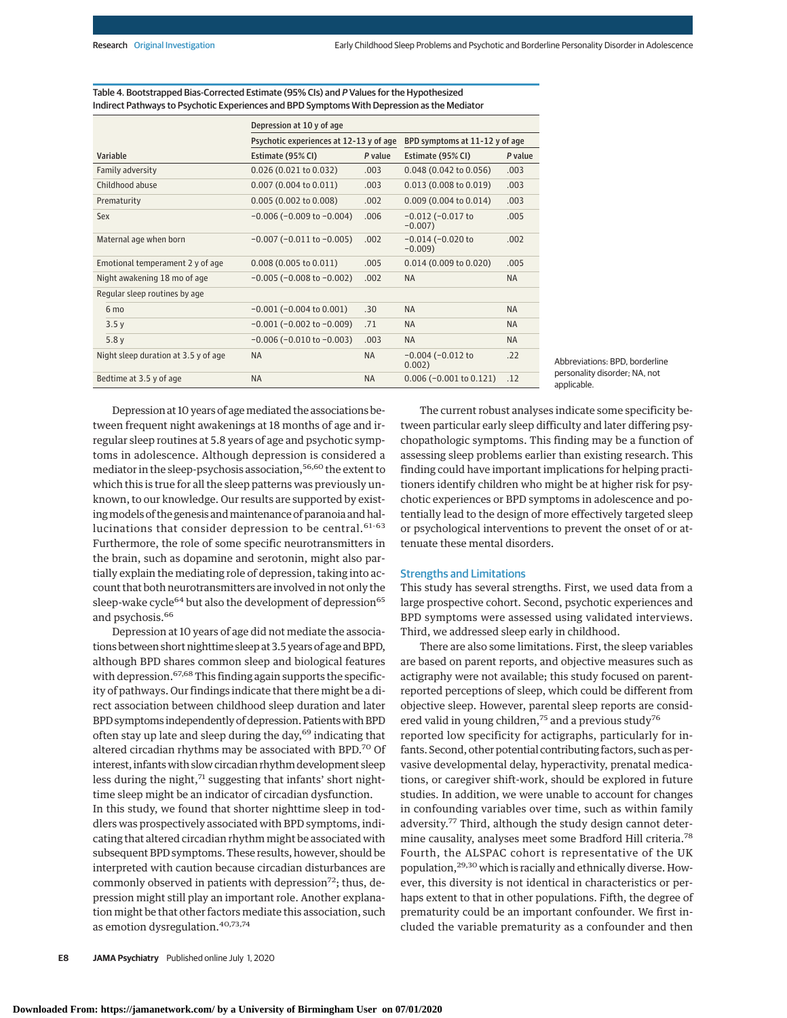|                                      | Depression at 10 y of age               |                                |                                      |           |  |  |  |  |  |  |
|--------------------------------------|-----------------------------------------|--------------------------------|--------------------------------------|-----------|--|--|--|--|--|--|
|                                      | Psychotic experiences at 12-13 y of age | BPD symptoms at 11-12 y of age |                                      |           |  |  |  |  |  |  |
| Variable                             | Estimate (95% CI)                       | P value                        | Estimate (95% CI)                    | P value   |  |  |  |  |  |  |
| Family adversity                     | 0.026(0.021 to 0.032)                   | .003                           | 0.048 (0.042 to 0.056)               | .003      |  |  |  |  |  |  |
| Childhood abuse                      | $0.007$ (0.004 to 0.011)                | .003                           | 0.013(0.008 to 0.019)                | .003      |  |  |  |  |  |  |
| Prematurity                          | 0.005(0.002 to 0.008)                   | .002                           | 0.009 (0.004 to 0.014)               | .003      |  |  |  |  |  |  |
| Sex                                  | $-0.006$ ( $-0.009$ to $-0.004$ )       | .006                           | $-0.012$ ( $-0.017$ to<br>$-0.007$ ) | .005      |  |  |  |  |  |  |
| Maternal age when born               | $-0.007$ ( $-0.011$ to $-0.005$ )       | .002                           | $-0.014$ ( $-0.020$ to<br>$-0.009$   | .002      |  |  |  |  |  |  |
| Emotional temperament 2 y of age     | $0.008(0.005 \text{ to } 0.011)$        | .005                           | 0.014(0.009 to 0.020)                | .005      |  |  |  |  |  |  |
| Night awakening 18 mo of age         | $-0.005$ ( $-0.008$ to $-0.002$ )       | .002                           | <b>NA</b>                            | <b>NA</b> |  |  |  |  |  |  |
| Regular sleep routines by age        |                                         |                                |                                      |           |  |  |  |  |  |  |
| 6 mo                                 | $-0.001$ ( $-0.004$ to $0.001$ )        | .30                            | <b>NA</b>                            | <b>NA</b> |  |  |  |  |  |  |
| 3.5v                                 | $-0.001$ ( $-0.002$ to $-0.009$ )       | .71                            | <b>NA</b>                            | <b>NA</b> |  |  |  |  |  |  |
| 5.8y                                 | $-0.006$ ( $-0.010$ to $-0.003$ )       | .003                           | <b>NA</b>                            | <b>NA</b> |  |  |  |  |  |  |
| Night sleep duration at 3.5 y of age | <b>NA</b>                               | <b>NA</b>                      | $-0.004$ ( $-0.012$ to<br>0.002)     | .22       |  |  |  |  |  |  |
| Bedtime at 3.5 y of age              | <b>NA</b>                               | <b>NA</b>                      | $0.006$ (-0.001 to 0.121)            | .12       |  |  |  |  |  |  |

Table 4. Bootstrapped Bias-Corrected Estimate (95% CIs) and P Values for the Hypothesized Indirect Pathways to Psychotic Experiences and BPD Symptoms With Depression as the Mediator

> Abbreviations: BPD, borderline personality disorder; NA, not applicable.

Depression at 10 years of agemediated the associations between frequent night awakenings at 18 months of age and irregular sleep routines at 5.8 years of age and psychotic symptoms in adolescence. Although depression is considered a mediator in the sleep-psychosis association,<sup>56,60</sup> the extent to which this is true for all the sleep patterns was previously unknown, to our knowledge. Our results are supported by existing models of the genesis and maintenance of paranoia and hallucinations that consider depression to be central.<sup>61-63</sup> Furthermore, the role of some specific neurotransmitters in the brain, such as dopamine and serotonin, might also partially explain the mediating role of depression, taking into account that both neurotransmitters are involved in not only the sleep-wake cycle<sup>64</sup> but also the development of depression<sup>65</sup> and psychosis.<sup>66</sup>

Depression at 10 years of age did not mediate the associations between short nighttime sleep at 3.5 years of age and BPD, although BPD shares common sleep and biological features with depression.  $67,68$  This finding again supports the specificity of pathways. Our findings indicate that there might be a direct association between childhood sleep duration and later BPD symptoms independently of depression. Patients with BPD often stay up late and sleep during the day,<sup>69</sup> indicating that altered circadian rhythms may be associated with BPD.<sup>70</sup> Of interest, infantswith slow circadian rhythm development sleep less during the night,<sup>71</sup> suggesting that infants' short nighttime sleep might be an indicator of circadian dysfunction. In this study, we found that shorter nighttime sleep in toddlers was prospectively associated with BPD symptoms, indicating that altered circadian rhythm might be associated with subsequent BPD symptoms. These results, however, should be interpreted with caution because circadian disturbances are commonly observed in patients with depression<sup>72</sup>; thus, depression might still play an important role. Another explanation might be that other factors mediate this association, such as emotion dysregulation.40,73,74

The current robust analyses indicate some specificity between particular early sleep difficulty and later differing psychopathologic symptoms. This finding may be a function of assessing sleep problems earlier than existing research. This finding could have important implications for helping practitioners identify children who might be at higher risk for psychotic experiences or BPD symptoms in adolescence and potentially lead to the design of more effectively targeted sleep or psychological interventions to prevent the onset of or attenuate these mental disorders.

#### Strengths and Limitations

This study has several strengths. First, we used data from a large prospective cohort. Second, psychotic experiences and BPD symptoms were assessed using validated interviews. Third, we addressed sleep early in childhood.

There are also some limitations. First, the sleep variables are based on parent reports, and objective measures such as actigraphy were not available; this study focused on parentreported perceptions of sleep, which could be different from objective sleep. However, parental sleep reports are considered valid in young children,<sup>75</sup> and a previous study<sup>76</sup> reported low specificity for actigraphs, particularly for infants. Second, other potential contributing factors, such as pervasive developmental delay, hyperactivity, prenatal medications, or caregiver shift-work, should be explored in future studies. In addition, we were unable to account for changes in confounding variables over time, such as within family adversity.<sup>77</sup> Third, although the study design cannot determine causality, analyses meet some Bradford Hill criteria.<sup>78</sup> Fourth, the ALSPAC cohort is representative of the UK population,29,30 which is racially and ethnically diverse. However, this diversity is not identical in characteristics or perhaps extent to that in other populations. Fifth, the degree of prematurity could be an important confounder. We first included the variable prematurity as a confounder and then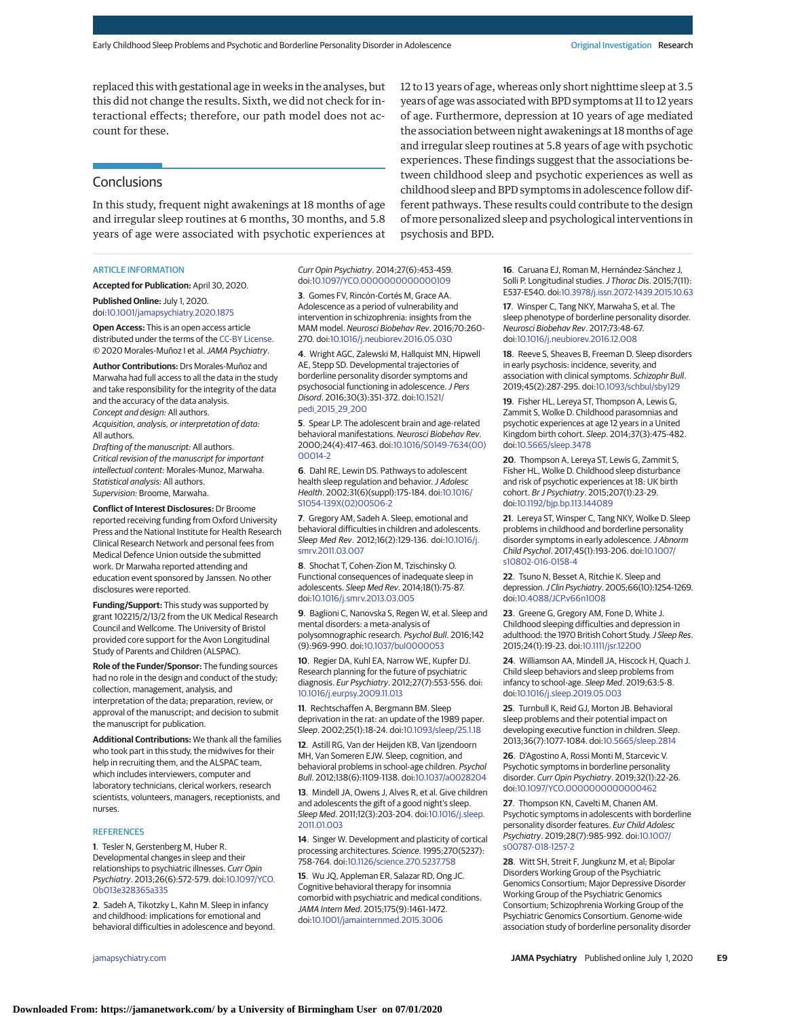replaced this with gestational age in weeks in the analyses, but this did not change the results. Sixth, we did not check for interactional effects; therefore, our path model does not account for these.

#### **Conclusions**

In this study, frequent night awakenings at 18 months of age and irregular sleep routines at 6 months, 30 months, and 5.8 years of age were associated with psychotic experiences at

#### ARTICLE INFORMATION

**Accepted for Publication:** April 30, 2020.

**Published Online:** July 1, 2020. doi[:10.1001/jamapsychiatry.2020.1875](https://jamanetwork.com/journals/jama/fullarticle/10.1001/jamapsychiatry.2020.1875?utm_campaign=articlePDF%26utm_medium=articlePDFlink%26utm_source=articlePDF%26utm_content=jamapsychiatry.2020.1875)

**Open Access:** This is an open access article distributed under the terms of the [CC-BY License.](https://jamanetwork.com/journals/jamapsychiatry/pages/instructions-for-authors?utm_campaign=articlePDF%26utm_medium=articlePDFlink%26utm_source=articlePDF%26utm_content=jamapsychiatry.2020.1875#SecOpenAccess) © 2020 Morales-Muñoz I et al.JAMA Psychiatry.

**Author Contributions:** Drs Morales-Muñoz and Marwaha had full access to all the data in the study and take responsibility for the integrity of the data and the accuracy of the data analysis. Concept and design: All authors. Acquisition, analysis, or interpretation of data:

All authors.

Drafting of the manuscript: All authors. Critical revision of the manuscript for important intellectual content: Morales-Munoz, Marwaha. Statistical analysis: All authors. Supervision: Broome, Marwaha.

**Conflict of Interest Disclosures:** Dr Broome reported receiving funding from Oxford University Press and the National Institute for Health Research Clinical Research Network and personal fees from Medical Defence Union outside the submitted work. Dr Marwaha reported attending and education event sponsored by Janssen. No other disclosures were reported.

**Funding/Support:** This study was supported by grant 102215/2/13/2 from the UK Medical Research Council and Wellcome. The University of Bristol provided core support for the Avon Longitudinal Study of Parents and Children (ALSPAC).

**Role of the Funder/Sponsor:** The funding sources had no role in the design and conduct of the study; collection, management, analysis, and interpretation of the data; preparation, review, or approval of the manuscript; and decision to submit the manuscript for publication.

**Additional Contributions:** We thank all the families who took part in this study, the midwives for their help in recruiting them, and the ALSPAC team, which includes interviewers, computer and laboratory technicians, clerical workers, research scientists, volunteers, managers, receptionists, and nurses.

#### **REFERENCES**

**1**. Tesler N, Gerstenberg M, Huber R. Developmental changes in sleep and their relationships to psychiatric illnesses. Curr Opin Psychiatry. 2013;26(6):572-579. doi[:10.1097/YCO.](https://dx.doi.org/10.1097/YCO.0b013e328365a335) [0b013e328365a335](https://dx.doi.org/10.1097/YCO.0b013e328365a335)

**2**. Sadeh A, Tikotzky L, Kahn M. Sleep in infancy and childhood: implications for emotional and behavioral difficulties in adolescence and beyond.

#### Curr Opin Psychiatry. 2014;27(6):453-459. doi[:10.1097/YCO.0000000000000109](https://dx.doi.org/10.1097/YCO.0000000000000109)

**3**. Gomes FV, Rincón-Cortés M, Grace AA. Adolescence as a period of vulnerability and intervention in schizophrenia: insights from the MAM model. Neurosci Biobehav Rev. 2016;70:260- 270. doi[:10.1016/j.neubiorev.2016.05.030](https://dx.doi.org/10.1016/j.neubiorev.2016.05.030)

**4**. Wright AGC, Zalewski M, Hallquist MN, Hipwell AE, Stepp SD. Developmental trajectories of borderline personality disorder symptoms and psychosocial functioning in adolescence.J Pers Disord. 2016;30(3):351-372. doi[:10.1521/](https://dx.doi.org/10.1521/pedi_2015_29_200) [pedi\\_2015\\_29\\_200](https://dx.doi.org/10.1521/pedi_2015_29_200)

**5**. Spear LP. The adolescent brain and age-related behavioral manifestations. Neurosci Biobehav Rev. 2000;24(4):417-463. doi[:10.1016/S0149-7634\(00\)](https://dx.doi.org/10.1016/S0149-7634(00)00014-2) [00014-2](https://dx.doi.org/10.1016/S0149-7634(00)00014-2)

**6**. Dahl RE, Lewin DS. Pathways to adolescent health sleep regulation and behavior. J Adolesc Health. 2002;31(6)(suppl):175-184. doi[:10.1016/](https://dx.doi.org/10.1016/S1054-139X(02)00506-2) [S1054-139X\(02\)00506-2](https://dx.doi.org/10.1016/S1054-139X(02)00506-2)

**7**. Gregory AM, Sadeh A. Sleep, emotional and behavioral difficulties in children and adolescents. Sleep Med Rev. 2012;16(2):129-136. doi[:10.1016/j.](https://dx.doi.org/10.1016/j.smrv.2011.03.007) [smrv.2011.03.007](https://dx.doi.org/10.1016/j.smrv.2011.03.007)

**8**. Shochat T, Cohen-Zion M, Tzischinsky O. Functional consequences of inadequate sleep in adolescents. Sleep Med Rev. 2014;18(1):75-87. doi[:10.1016/j.smrv.2013.03.005](https://dx.doi.org/10.1016/j.smrv.2013.03.005)

**9**. Baglioni C, Nanovska S, Regen W, et al. Sleep and mental disorders: a meta-analysis of polysomnographic research. Psychol Bull. 2016;142 (9):969-990. doi[:10.1037/bul0000053](https://dx.doi.org/10.1037/bul0000053)

**10**. Regier DA, Kuhl EA, Narrow WE, Kupfer DJ. Research planning for the future of psychiatric diagnosis. Eur Psychiatry. 2012;27(7):553-556. doi: [10.1016/j.eurpsy.2009.11.013](https://dx.doi.org/10.1016/j.eurpsy.2009.11.013)

**11**. Rechtschaffen A, Bergmann BM. Sleep deprivation in the rat: an update of the 1989 paper. Sleep. 2002;25(1):18-24. doi[:10.1093/sleep/25.1.18](https://dx.doi.org/10.1093/sleep/25.1.18)

**12**. Astill RG, Van der Heijden KB, Van Ijzendoorn MH, Van Someren EJW. Sleep, cognition, and behavioral problems in school-age children. Psychol Bull. 2012;138(6):1109-1138. doi[:10.1037/a0028204](https://dx.doi.org/10.1037/a0028204)

**13**. Mindell JA, Owens J, Alves R, et al. Give children and adolescents the gift of a good night's sleep. Sleep Med. 2011;12(3):203-204. doi[:10.1016/j.sleep.](https://dx.doi.org/10.1016/j.sleep.2011.01.003) [2011.01.003](https://dx.doi.org/10.1016/j.sleep.2011.01.003)

**14**. Singer W. Development and plasticity of cortical processing architectures. Science. 1995;270(5237): 758-764. doi[:10.1126/science.270.5237.758](https://dx.doi.org/10.1126/science.270.5237.758)

**15**. Wu JQ, Appleman ER, Salazar RD, Ong JC. Cognitive behavioral therapy for insomnia comorbid with psychiatric and medical conditions. JAMA Intern Med. 2015;175(9):1461-1472. doi[:10.1001/jamainternmed.2015.3006](https://jamanetwork.com/journals/jama/fullarticle/10.1001/jamainternmed.2015.3006?utm_campaign=articlePDF%26utm_medium=articlePDFlink%26utm_source=articlePDF%26utm_content=jamapsychiatry.2020.1875)

12 to 13 years of age, whereas only short nighttime sleep at 3.5 years of age was associated with BPD symptoms at 11 to 12 years of age. Furthermore, depression at 10 years of age mediated the association between night awakenings at 18 months of age and irregular sleep routines at 5.8 years of age with psychotic experiences. These findings suggest that the associations between childhood sleep and psychotic experiences as well as childhood sleep and BPD symptoms in adolescence follow different pathways. These results could contribute to the design of more personalized sleep and psychological interventions in psychosis and BPD.

> **16**. Caruana EJ, Roman M, Hernández-Sánchez J, Solli P. Longitudinal studies. J Thorac Dis. 2015;7(11): E537-E540. doi[:10.3978/j.issn.2072-1439.2015.10.63](https://dx.doi.org/10.3978/j.issn.2072-1439.2015.10.63)

**17**. Winsper C, Tang NKY, Marwaha S, et al. The sleep phenotype of borderline personality disorder. Neurosci Biobehav Rev. 2017;73:48-67. doi[:10.1016/j.neubiorev.2016.12.008](https://dx.doi.org/10.1016/j.neubiorev.2016.12.008)

**18**. Reeve S, Sheaves B, Freeman D. Sleep disorders in early psychosis: incidence, severity, and association with clinical symptoms. Schizophr Bull. 2019;45(2):287-295. doi[:10.1093/schbul/sby129](https://dx.doi.org/10.1093/schbul/sby129)

**19**. Fisher HL, Lereya ST, Thompson A, Lewis G, Zammit S, Wolke D. Childhood parasomnias and psychotic experiences at age 12 years in a United Kingdom birth cohort. Sleep. 2014;37(3):475-482. doi[:10.5665/sleep.3478](https://dx.doi.org/10.5665/sleep.3478)

**20**. Thompson A, Lereya ST, Lewis G, Zammit S, Fisher HL, Wolke D. Childhood sleep disturbance and risk of psychotic experiences at 18: UK birth cohort. Br J Psychiatry. 2015;207(1):23-29. doi[:10.1192/bjp.bp.113.144089](https://dx.doi.org/10.1192/bjp.bp.113.144089)

**21**. Lereya ST, Winsper C, Tang NKY, Wolke D. Sleep problems in childhood and borderline personality disorder symptoms in early adolescence. J Abnorm Child Psychol. 2017;45(1):193-206. doi[:10.1007/](https://dx.doi.org/10.1007/s10802-016-0158-4) [s10802-016-0158-4](https://dx.doi.org/10.1007/s10802-016-0158-4)

**22**. Tsuno N, Besset A, Ritchie K. Sleep and depression.J Clin Psychiatry. 2005;66(10):1254-1269. doi[:10.4088/JCP.v66n1008](https://dx.doi.org/10.4088/JCP.v66n1008)

**23**. Greene G, Gregory AM, Fone D, White J. Childhood sleeping difficulties and depression in adulthood: the 1970 British Cohort Study. J Sleep Res. 2015;24(1):19-23. doi[:10.1111/jsr.12200](https://dx.doi.org/10.1111/jsr.12200)

**24**. Williamson AA, Mindell JA, Hiscock H, Quach J. Child sleep behaviors and sleep problems from infancy to school-age. Sleep Med. 2019;63:5-8. doi[:10.1016/j.sleep.2019.05.003](https://dx.doi.org/10.1016/j.sleep.2019.05.003)

**25**. Turnbull K, Reid GJ, Morton JB. Behavioral sleep problems and their potential impact on developing executive function in children. Sleep. 2013;36(7):1077-1084. doi[:10.5665/sleep.2814](https://dx.doi.org/10.5665/sleep.2814)

**26**. D'Agostino A, Rossi Monti M, Starcevic V. Psychotic symptoms in borderline personality disorder. Curr Opin Psychiatry. 2019;32(1):22-26. doi[:10.1097/YCO.0000000000000462](https://dx.doi.org/10.1097/YCO.0000000000000462)

**27**. Thompson KN, Cavelti M, Chanen AM. Psychotic symptoms in adolescents with borderline personality disorder features. Eur Child Adolesc Psychiatry. 2019;28(7):985-992. doi[:10.1007/](https://dx.doi.org/10.1007/s00787-018-1257-2) [s00787-018-1257-2](https://dx.doi.org/10.1007/s00787-018-1257-2)

**28**. Witt SH, Streit F, Jungkunz M, et al; Bipolar Disorders Working Group of the Psychiatric Genomics Consortium; Major Depressive Disorder Working Group of the Psychiatric Genomics Consortium; Schizophrenia Working Group of the Psychiatric Genomics Consortium. Genome-wide association study of borderline personality disorder